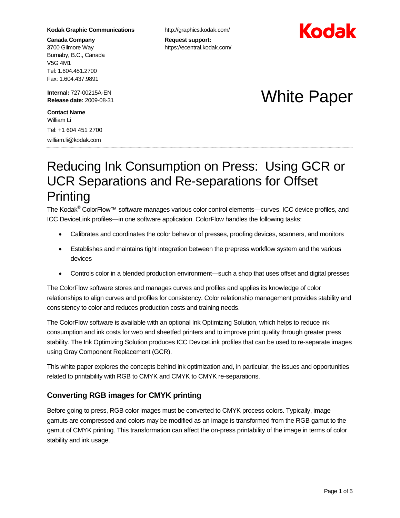#### **Kodak Graphic Communications**

**Canada Company**  3700 Gilmore Way Burnaby, B.C., Canada V5G 4M1 Tel: 1.604.451.2700 Fax: 1.604.437.9891

**Internal:** 727-00215A-EN

**Contact Name**  William Li

 $\ddot{\phantom{0}}$ 

Tel: +1 604 451 2700 william.li@kodak.com

http://graphics.kodak.com/

**Request support:**  https://ecentral.kodak.com/



# **Internal: 727-00215A-EN**<br>Release date: 2009-08-31 **White Paper**

# Reducing Ink Consumption on Press: Using GCR or UCR Separations and Re-separations for Offset **Printing**

The Kodak<sup>®</sup> ColorFlow™ software manages various color control elements—curves, ICC device profiles, and ICC DeviceLink profiles—in one software application. ColorFlow handles the following tasks:

- Calibrates and coordinates the color behavior of presses, proofing devices, scanners, and monitors
- Establishes and maintains tight integration between the prepress workflow system and the various devices
- Controls color in a blended production environment—such a shop that uses offset and digital presses

The ColorFlow software stores and manages curves and profiles and applies its knowledge of color relationships to align curves and profiles for consistency. Color relationship management provides stability and consistency to color and reduces production costs and training needs.

The ColorFlow software is available with an optional Ink Optimizing Solution, which helps to reduce ink consumption and ink costs for web and sheetfed printers and to improve print quality through greater press stability. The Ink Optimizing Solution produces ICC DeviceLink profiles that can be used to re-separate images using Gray Component Replacement (GCR).

This white paper explores the concepts behind ink optimization and, in particular, the issues and opportunities related to printability with RGB to CMYK and CMYK to CMYK re-separations.

# **Converting RGB images for CMYK printing**

Before going to press, RGB color images must be converted to CMYK process colors. Typically, image gamuts are compressed and colors may be modified as an image is transformed from the RGB gamut to the gamut of CMYK printing. This transformation can affect the on-press printability of the image in terms of color stability and ink usage.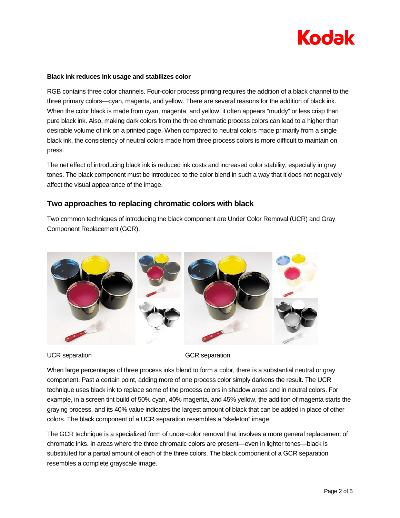

#### **Black ink reduces ink usage and stabilizes color**

RGB contains three color channels. Four-color process printing requires the addition of a black channel to the three primary colors—cyan, magenta, and yellow. There are several reasons for the addition of black ink. When the color black is made from cyan, magenta, and yellow, it often appears "muddy" or less crisp than pure black ink. Also, making dark colors from the three chromatic process colors can lead to a higher than desirable volume of ink on a printed page. When compared to neutral colors made primarily from a single black ink, the consistency of neutral colors made from three process colors is more difficult to maintain on press.

The net effect of introducing black ink is reduced ink costs and increased color stability, especially in gray tones. The black component must be introduced to the color blend in such a way that it does not negatively affect the visual appearance of the image.

#### **Two approaches to replacing chromatic colors with black**

Two common techniques of introducing the black component are Under Color Removal (UCR) and Gray Component Replacement (GCR).



UCR separation GCR separation

When large percentages of three process inks blend to form a color, there is a substantial neutral or gray component. Past a certain point, adding more of one process color simply darkens the result. The UCR technique uses black ink to replace some of the process colors in shadow areas and in neutral colors. For example, in a screen tint build of 50% cyan, 40% magenta, and 45% yellow, the addition of magenta starts the graying process, and its 40% value indicates the largest amount of black that can be added in place of other colors. The black component of a UCR separation resembles a "skeleton" image.

The GCR technique is a specialized form of under-color removal that involves a more general replacement of chromatic inks. In areas where the three chromatic colors are present—even in lighter tones—black is substituted for a partial amount of each of the three colors. The black component of a GCR separation resembles a complete grayscale image.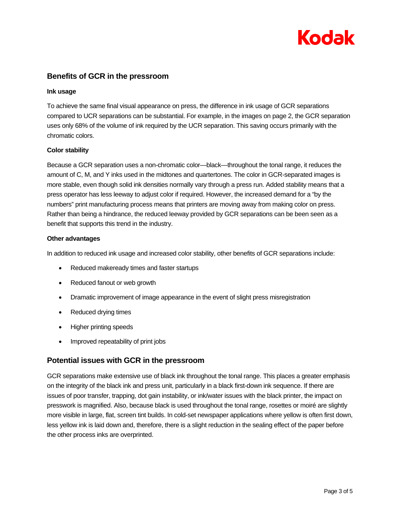

# **Benefits of GCR in the pressroom**

#### **Ink usage**

To achieve the same final visual appearance on press, the difference in ink usage of GCR separations compared to UCR separations can be substantial. For example, in the images on page 2, the GCR separation uses only 68% of the volume of ink required by the UCR separation. This saving occurs primarily with the chromatic colors.

#### **Color stability**

Because a GCR separation uses a non-chromatic color—black—throughout the tonal range, it reduces the amount of C, M, and Y inks used in the midtones and quartertones. The color in GCR-separated images is more stable, even though solid ink densities normally vary through a press run. Added stability means that a press operator has less leeway to adjust color if required. However, the increased demand for a "by the numbers" print manufacturing process means that printers are moving away from making color on press. Rather than being a hindrance, the reduced leeway provided by GCR separations can be been seen as a benefit that supports this trend in the industry.

#### **Other advantages**

In addition to reduced ink usage and increased color stability, other benefits of GCR separations include:

- Reduced makeready times and faster startups
- Reduced fanout or web growth
- Dramatic improvement of image appearance in the event of slight press misregistration
- Reduced drying times
- Higher printing speeds
- Improved repeatability of print jobs

## **Potential issues with GCR in the pressroom**

GCR separations make extensive use of black ink throughout the tonal range. This places a greater emphasis on the integrity of the black ink and press unit, particularly in a black first-down ink sequence. If there are issues of poor transfer, trapping, dot gain instability, or ink/water issues with the black printer, the impact on presswork is magnified. Also, because black is used throughout the tonal range, rosettes or moiré are slightly more visible in large, flat, screen tint builds. In cold-set newspaper applications where yellow is often first down, less yellow ink is laid down and, therefore, there is a slight reduction in the sealing effect of the paper before the other process inks are overprinted.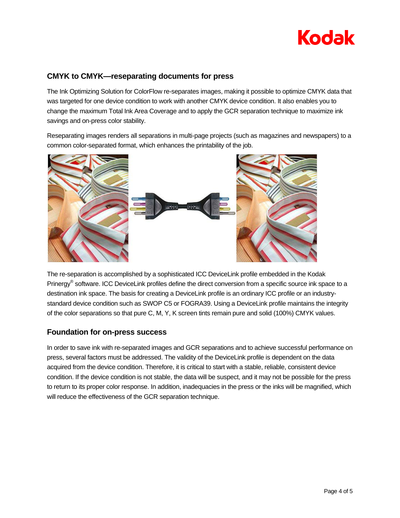# **Kodak**

# **CMYK to CMYK—reseparating documents for press**

The Ink Optimizing Solution for ColorFlow re-separates images, making it possible to optimize CMYK data that was targeted for one device condition to work with another CMYK device condition. It also enables you to change the maximum Total Ink Area Coverage and to apply the GCR separation technique to maximize ink savings and on-press color stability.

Reseparating images renders all separations in multi-page projects (such as magazines and newspapers) to a common color-separated format, which enhances the printability of the job.



The re-separation is accomplished by a sophisticated ICC DeviceLink profile embedded in the Kodak Prinergy® software. ICC DeviceLink profiles define the direct conversion from a specific source ink space to a destination ink space. The basis for creating a DeviceLink profile is an ordinary ICC profile or an industrystandard device condition such as SWOP C5 or FOGRA39. Using a DeviceLink profile maintains the integrity of the color separations so that pure C, M, Y, K screen tints remain pure and solid (100%) CMYK values.

## **Foundation for on-press success**

In order to save ink with re-separated images and GCR separations and to achieve successful performance on press, several factors must be addressed. The validity of the DeviceLink profile is dependent on the data acquired from the device condition. Therefore, it is critical to start with a stable, reliable, consistent device condition. If the device condition is not stable, the data will be suspect, and it may not be possible for the press to return to its proper color response. In addition, inadequacies in the press or the inks will be magnified, which will reduce the effectiveness of the GCR separation technique.